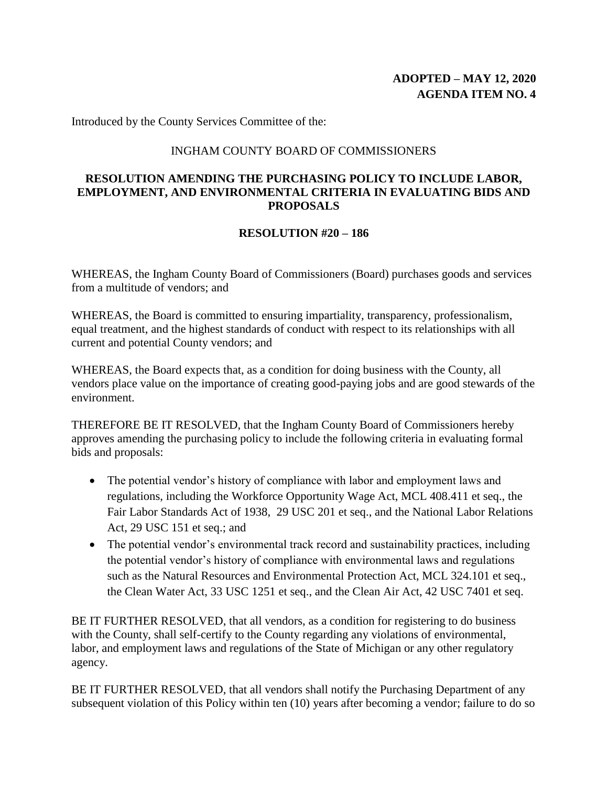Introduced by the County Services Committee of the:

## INGHAM COUNTY BOARD OF COMMISSIONERS

## **RESOLUTION AMENDING THE PURCHASING POLICY TO INCLUDE LABOR, EMPLOYMENT, AND ENVIRONMENTAL CRITERIA IN EVALUATING BIDS AND PROPOSALS**

## **RESOLUTION #20 – 186**

WHEREAS, the Ingham County Board of Commissioners (Board) purchases goods and services from a multitude of vendors; and

WHEREAS, the Board is committed to ensuring impartiality, transparency, professionalism, equal treatment, and the highest standards of conduct with respect to its relationships with all current and potential County vendors; and

WHEREAS, the Board expects that, as a condition for doing business with the County, all vendors place value on the importance of creating good-paying jobs and are good stewards of the environment.

THEREFORE BE IT RESOLVED, that the Ingham County Board of Commissioners hereby approves amending the purchasing policy to include the following criteria in evaluating formal bids and proposals:

- The potential vendor's history of compliance with labor and employment laws and regulations, including the Workforce Opportunity Wage Act, MCL 408.411 et seq., the Fair Labor Standards Act of 1938, 29 USC 201 et seq., and the National Labor Relations Act, 29 USC 151 et seq.; and
- The potential vendor's environmental track record and sustainability practices, including the potential vendor's history of compliance with environmental laws and regulations such as the Natural Resources and Environmental Protection Act, MCL 324.101 et seq., the Clean Water Act, 33 USC 1251 et seq., and the Clean Air Act, 42 USC 7401 et seq.

BE IT FURTHER RESOLVED, that all vendors, as a condition for registering to do business with the County, shall self-certify to the County regarding any violations of environmental, labor, and employment laws and regulations of the State of Michigan or any other regulatory agency.

BE IT FURTHER RESOLVED, that all vendors shall notify the Purchasing Department of any subsequent violation of this Policy within ten (10) years after becoming a vendor; failure to do so